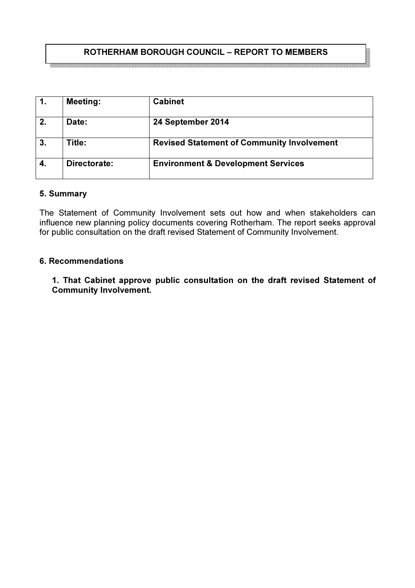## ROTHERHAM BOROUGH COUNCIL – REPORT TO MEMBERS

|    | <b>Meeting:</b> | <b>Cabinet</b>                                    |
|----|-----------------|---------------------------------------------------|
| 2. | Date:           | 24 September 2014                                 |
| 3. | Title:          | <b>Revised Statement of Community Involvement</b> |
| 4. | Directorate:    | <b>Environment &amp; Development Services</b>     |

#### 5. Summary

The Statement of Community Involvement sets out how and when stakeholders can influence new planning policy documents covering Rotherham. The report seeks approval for public consultation on the draft revised Statement of Community Involvement.

#### 6. Recommendations

1. That Cabinet approve public consultation on the draft revised Statement of Community Involvement.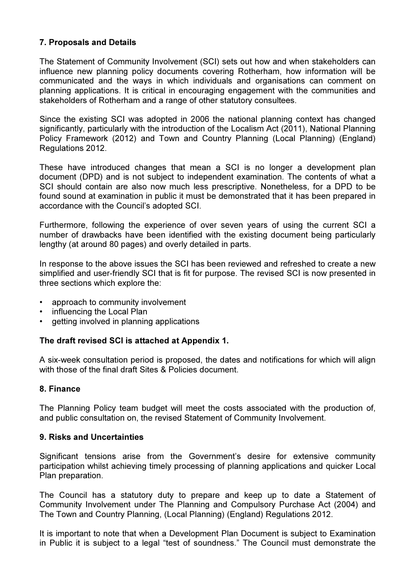#### 7. Proposals and Details

The Statement of Community Involvement (SCI) sets out how and when stakeholders can influence new planning policy documents covering Rotherham, how information will be communicated and the ways in which individuals and organisations can comment on planning applications. It is critical in encouraging engagement with the communities and stakeholders of Rotherham and a range of other statutory consultees.

Since the existing SCI was adopted in 2006 the national planning context has changed significantly, particularly with the introduction of the Localism Act (2011), National Planning Policy Framework (2012) and Town and Country Planning (Local Planning) (England) Regulations 2012.

These have introduced changes that mean a SCI is no longer a development plan document (DPD) and is not subject to independent examination. The contents of what a SCI should contain are also now much less prescriptive. Nonetheless, for a DPD to be found sound at examination in public it must be demonstrated that it has been prepared in accordance with the Council's adopted SCI.

Furthermore, following the experience of over seven years of using the current SCI a number of drawbacks have been identified with the existing document being particularly lengthy (at around 80 pages) and overly detailed in parts.

In response to the above issues the SCI has been reviewed and refreshed to create a new simplified and user-friendly SCI that is fit for purpose. The revised SCI is now presented in three sections which explore the:

- approach to community involvement
- influencing the Local Plan
- getting involved in planning applications

#### The draft revised SCI is attached at Appendix 1.

A six-week consultation period is proposed, the dates and notifications for which will align with those of the final draft Sites & Policies document.

#### 8. Finance

The Planning Policy team budget will meet the costs associated with the production of, and public consultation on, the revised Statement of Community Involvement.

#### 9. Risks and Uncertainties

Significant tensions arise from the Government's desire for extensive community participation whilst achieving timely processing of planning applications and quicker Local Plan preparation.

The Council has a statutory duty to prepare and keep up to date a Statement of Community Involvement under The Planning and Compulsory Purchase Act (2004) and The Town and Country Planning, (Local Planning) (England) Regulations 2012.

It is important to note that when a Development Plan Document is subject to Examination in Public it is subject to a legal "test of soundness." The Council must demonstrate the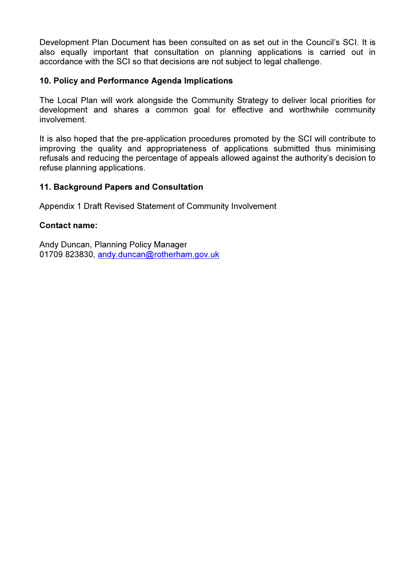Development Plan Document has been consulted on as set out in the Council's SCI. It is also equally important that consultation on planning applications is carried out in accordance with the SCI so that decisions are not subject to legal challenge.

#### 10. Policy and Performance Agenda Implications

The Local Plan will work alongside the Community Strategy to deliver local priorities for development and shares a common goal for effective and worthwhile community involvement.

It is also hoped that the pre-application procedures promoted by the SCI will contribute to improving the quality and appropriateness of applications submitted thus minimising refusals and reducing the percentage of appeals allowed against the authority's decision to refuse planning applications.

#### 11. Background Papers and Consultation

Appendix 1 Draft Revised Statement of Community Involvement

#### Contact name:

Andy Duncan, Planning Policy Manager 01709 823830, andy.duncan@rotherham.gov.uk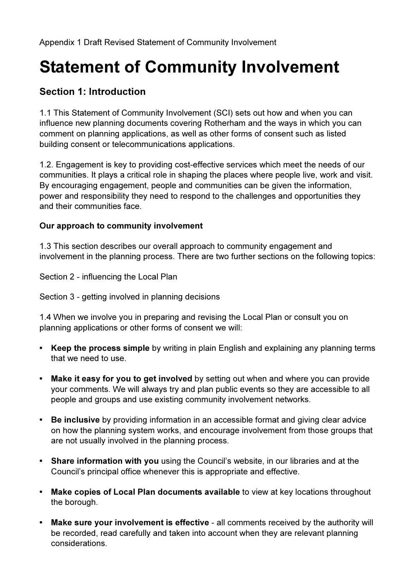# Statement of Community Involvement

# Section 1: Introduction

1.1 This Statement of Community Involvement (SCI) sets out how and when you can influence new planning documents covering Rotherham and the ways in which you can comment on planning applications, as well as other forms of consent such as listed building consent or telecommunications applications.

1.2. Engagement is key to providing cost-effective services which meet the needs of our communities. It plays a critical role in shaping the places where people live, work and visit. By encouraging engagement, people and communities can be given the information, power and responsibility they need to respond to the challenges and opportunities they and their communities face.

## Our approach to community involvement

1.3 This section describes our overall approach to community engagement and involvement in the planning process. There are two further sections on the following topics:

Section 2 - influencing the Local Plan

Section 3 - getting involved in planning decisions

1.4 When we involve you in preparing and revising the Local Plan or consult you on planning applications or other forms of consent we will:

- Keep the process simple by writing in plain English and explaining any planning terms that we need to use.
- Make it easy for you to get involved by setting out when and where you can provide your comments. We will always try and plan public events so they are accessible to all people and groups and use existing community involvement networks.
- Be inclusive by providing information in an accessible format and giving clear advice on how the planning system works, and encourage involvement from those groups that are not usually involved in the planning process.
- Share information with you using the Council's website, in our libraries and at the Council's principal office whenever this is appropriate and effective.
- Make copies of Local Plan documents available to view at key locations throughout the borough.
- Make sure your involvement is effective all comments received by the authority will be recorded, read carefully and taken into account when they are relevant planning considerations.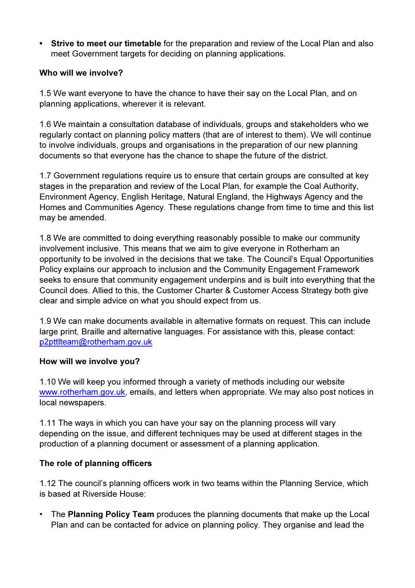• Strive to meet our timetable for the preparation and review of the Local Plan and also meet Government targets for deciding on planning applications.

### Who will we involve?

1.5 We want everyone to have the chance to have their say on the Local Plan, and on planning applications, wherever it is relevant.

1.6 We maintain a consultation database of individuals, groups and stakeholders who we regularly contact on planning policy matters (that are of interest to them). We will continue to involve individuals, groups and organisations in the preparation of our new planning documents so that everyone has the chance to shape the future of the district.

1.7 Government regulations require us to ensure that certain groups are consulted at key stages in the preparation and review of the Local Plan, for example the Coal Authority, Environment Agency, English Heritage, Natural England, the Highways Agency and the Homes and Communities Agency. These regulations change from time to time and this list may be amended.

1.8 We are committed to doing everything reasonably possible to make our community involvement inclusive. This means that we aim to give everyone in Rotherham an opportunity to be involved in the decisions that we take. The Council's Equal Opportunities Policy explains our approach to inclusion and the Community Engagement Framework seeks to ensure that community engagement underpins and is built into everything that the Council does. Allied to this, the Customer Charter & Customer Access Strategy both give clear and simple advice on what you should expect from us.

1.9 We can make documents available in alternative formats on request. This can include large print, Braille and alternative languages. For assistance with this, please contact: p2pttlteam@rotherham.gov.uk

#### How will we involve you?

1.10 We will keep you informed through a variety of methods including our website www.rotherham.gov.uk, emails, and letters when appropriate. We may also post notices in local newspapers.

1.11 The ways in which you can have your say on the planning process will vary depending on the issue, and different techniques may be used at different stages in the production of a planning document or assessment of a planning application.

## The role of planning officers

1.12 The council's planning officers work in two teams within the Planning Service, which is based at Riverside House:

• The Planning Policy Team produces the planning documents that make up the Local Plan and can be contacted for advice on planning policy. They organise and lead the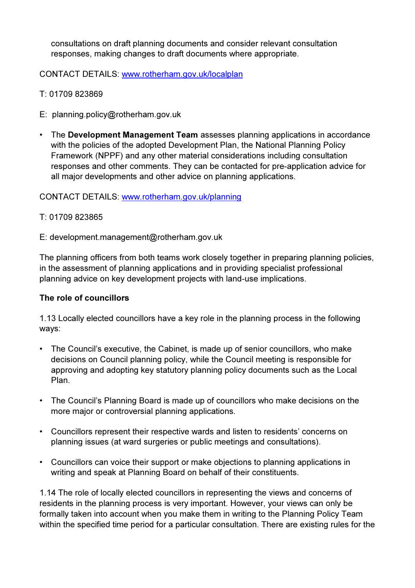consultations on draft planning documents and consider relevant consultation responses, making changes to draft documents where appropriate.

CONTACT DETAILS: www.rotherham.gov.uk/localplan

- T: 01709 823869
- E: planning.policy@rotherham.gov.uk
- The Development Management Team assesses planning applications in accordance with the policies of the adopted Development Plan, the National Planning Policy Framework (NPPF) and any other material considerations including consultation responses and other comments. They can be contacted for pre-application advice for all major developments and other advice on planning applications.

#### CONTACT DETAILS: www.rotherham.gov.uk/planning

#### T: 01709 823865

E: development.management@rotherham.gov.uk

The planning officers from both teams work closely together in preparing planning policies, in the assessment of planning applications and in providing specialist professional planning advice on key development projects with land-use implications.

#### The role of councillors

1.13 Locally elected councillors have a key role in the planning process in the following ways:

- The Council's executive, the Cabinet, is made up of senior councillors, who make decisions on Council planning policy, while the Council meeting is responsible for approving and adopting key statutory planning policy documents such as the Local Plan.
- The Council's Planning Board is made up of councillors who make decisions on the more major or controversial planning applications.
- Councillors represent their respective wards and listen to residents' concerns on planning issues (at ward surgeries or public meetings and consultations).
- Councillors can voice their support or make objections to planning applications in writing and speak at Planning Board on behalf of their constituents.

1.14 The role of locally elected councillors in representing the views and concerns of residents in the planning process is very important. However, your views can only be formally taken into account when you make them in writing to the Planning Policy Team within the specified time period for a particular consultation. There are existing rules for the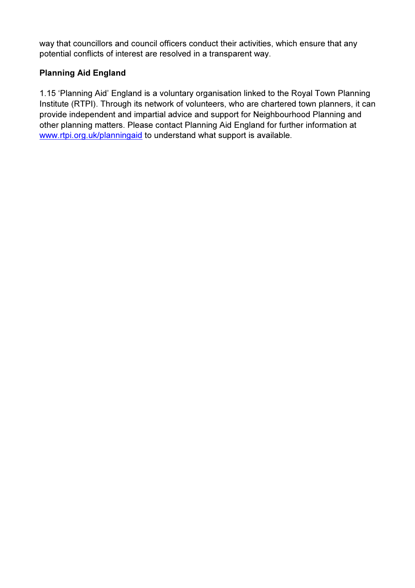way that councillors and council officers conduct their activities, which ensure that any potential conflicts of interest are resolved in a transparent way.

## Planning Aid England

1.15 'Planning Aid' England is a voluntary organisation linked to the Royal Town Planning Institute (RTPI). Through its network of volunteers, who are chartered town planners, it can provide independent and impartial advice and support for Neighbourhood Planning and other planning matters. Please contact Planning Aid England for further information at www.rtpi.org.uk/planningaid to understand what support is available.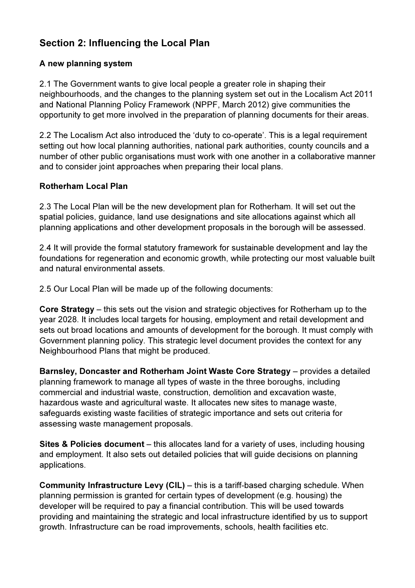# Section 2: Influencing the Local Plan

## A new planning system

2.1 The Government wants to give local people a greater role in shaping their neighbourhoods, and the changes to the planning system set out in the Localism Act 2011 and National Planning Policy Framework (NPPF, March 2012) give communities the opportunity to get more involved in the preparation of planning documents for their areas.

2.2 The Localism Act also introduced the 'duty to co-operate'. This is a legal requirement setting out how local planning authorities, national park authorities, county councils and a number of other public organisations must work with one another in a collaborative manner and to consider joint approaches when preparing their local plans.

#### Rotherham Local Plan

2.3 The Local Plan will be the new development plan for Rotherham. It will set out the spatial policies, guidance, land use designations and site allocations against which all planning applications and other development proposals in the borough will be assessed.

2.4 It will provide the formal statutory framework for sustainable development and lay the foundations for regeneration and economic growth, while protecting our most valuable built and natural environmental assets.

2.5 Our Local Plan will be made up of the following documents:

Core Strategy – this sets out the vision and strategic objectives for Rotherham up to the year 2028. It includes local targets for housing, employment and retail development and sets out broad locations and amounts of development for the borough. It must comply with Government planning policy. This strategic level document provides the context for any Neighbourhood Plans that might be produced.

Barnsley, Doncaster and Rotherham Joint Waste Core Strategy – provides a detailed planning framework to manage all types of waste in the three boroughs, including commercial and industrial waste, construction, demolition and excavation waste, hazardous waste and agricultural waste. It allocates new sites to manage waste, safeguards existing waste facilities of strategic importance and sets out criteria for assessing waste management proposals.

Sites & Policies document – this allocates land for a variety of uses, including housing and employment. It also sets out detailed policies that will guide decisions on planning applications.

Community Infrastructure Levy (CIL) – this is a tariff-based charging schedule. When planning permission is granted for certain types of development (e.g. housing) the developer will be required to pay a financial contribution. This will be used towards providing and maintaining the strategic and local infrastructure identified by us to support growth. Infrastructure can be road improvements, schools, health facilities etc.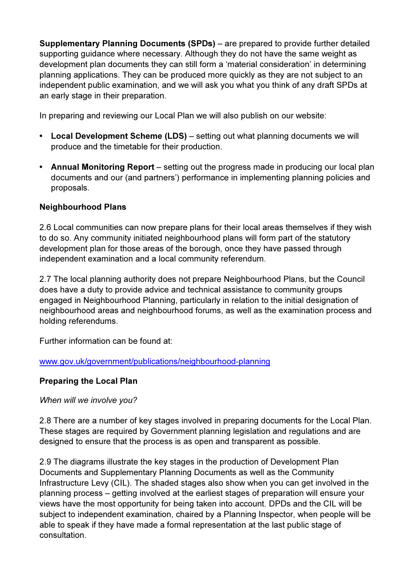Supplementary Planning Documents (SPDs) – are prepared to provide further detailed supporting guidance where necessary. Although they do not have the same weight as development plan documents they can still form a 'material consideration' in determining planning applications. They can be produced more quickly as they are not subject to an independent public examination, and we will ask you what you think of any draft SPDs at an early stage in their preparation.

In preparing and reviewing our Local Plan we will also publish on our website:

- Local Development Scheme (LDS) setting out what planning documents we will produce and the timetable for their production.
- Annual Monitoring Report setting out the progress made in producing our local plan documents and our (and partners') performance in implementing planning policies and proposals.

## Neighbourhood Plans

2.6 Local communities can now prepare plans for their local areas themselves if they wish to do so. Any community initiated neighbourhood plans will form part of the statutory development plan for those areas of the borough, once they have passed through independent examination and a local community referendum.

2.7 The local planning authority does not prepare Neighbourhood Plans, but the Council does have a duty to provide advice and technical assistance to community groups engaged in Neighbourhood Planning, particularly in relation to the initial designation of neighbourhood areas and neighbourhood forums, as well as the examination process and holding referendums.

Further information can be found at:

## www.gov.uk/government/publications/neighbourhood-planning

## Preparing the Local Plan

When will we involve you?

2.8 There are a number of key stages involved in preparing documents for the Local Plan. These stages are required by Government planning legislation and regulations and are designed to ensure that the process is as open and transparent as possible.

2.9 The diagrams illustrate the key stages in the production of Development Plan Documents and Supplementary Planning Documents as well as the Community Infrastructure Levy (CIL). The shaded stages also show when you can get involved in the planning process – getting involved at the earliest stages of preparation will ensure your views have the most opportunity for being taken into account. DPDs and the CIL will be subject to independent examination, chaired by a Planning Inspector, when people will be able to speak if they have made a formal representation at the last public stage of consultation.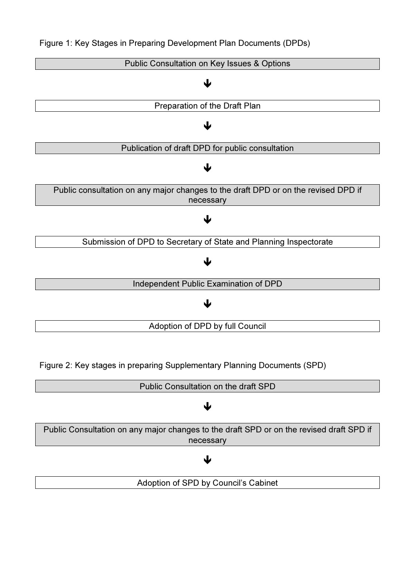

Figure 2: Key stages in preparing Supplementary Planning Documents (SPD)



Adoption of SPD by Council's Cabinet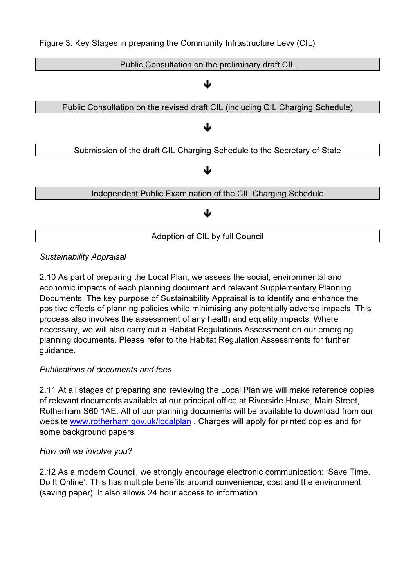

## Sustainability Appraisal

2.10 As part of preparing the Local Plan, we assess the social, environmental and economic impacts of each planning document and relevant Supplementary Planning Documents. The key purpose of Sustainability Appraisal is to identify and enhance the positive effects of planning policies while minimising any potentially adverse impacts. This process also involves the assessment of any health and equality impacts. Where necessary, we will also carry out a Habitat Regulations Assessment on our emerging planning documents. Please refer to the Habitat Regulation Assessments for further guidance.

## Publications of documents and fees

2.11 At all stages of preparing and reviewing the Local Plan we will make reference copies of relevant documents available at our principal office at Riverside House, Main Street, Rotherham S60 1AE. All of our planning documents will be available to download from our website www.rotherham.gov.uk/localplan. Charges will apply for printed copies and for some background papers.

#### How will we involve you?

2.12 As a modern Council, we strongly encourage electronic communication: 'Save Time, Do It Online'. This has multiple benefits around convenience, cost and the environment (saving paper). It also allows 24 hour access to information.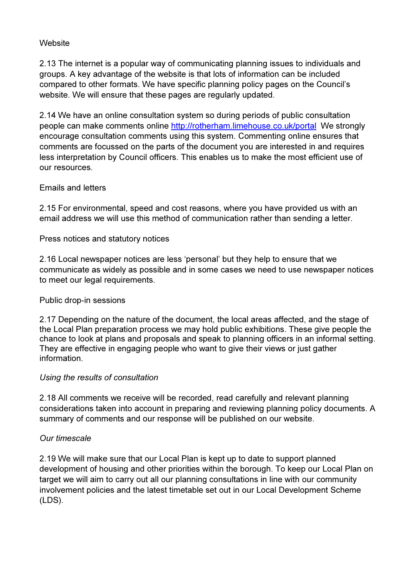#### **Website**

2.13 The internet is a popular way of communicating planning issues to individuals and groups. A key advantage of the website is that lots of information can be included compared to other formats. We have specific planning policy pages on the Council's website. We will ensure that these pages are regularly updated.

2.14 We have an online consultation system so during periods of public consultation people can make comments online http://rotherham.limehouse.co.uk/portal We strongly encourage consultation comments using this system. Commenting online ensures that comments are focussed on the parts of the document you are interested in and requires less interpretation by Council officers. This enables us to make the most efficient use of our resources.

#### Emails and letters

2.15 For environmental, speed and cost reasons, where you have provided us with an email address we will use this method of communication rather than sending a letter.

Press notices and statutory notices

2.16 Local newspaper notices are less 'personal' but they help to ensure that we communicate as widely as possible and in some cases we need to use newspaper notices to meet our legal requirements.

#### Public drop-in sessions

2.17 Depending on the nature of the document, the local areas affected, and the stage of the Local Plan preparation process we may hold public exhibitions. These give people the chance to look at plans and proposals and speak to planning officers in an informal setting. They are effective in engaging people who want to give their views or just gather information.

#### Using the results of consultation

2.18 All comments we receive will be recorded, read carefully and relevant planning considerations taken into account in preparing and reviewing planning policy documents. A summary of comments and our response will be published on our website.

#### Our timescale

2.19 We will make sure that our Local Plan is kept up to date to support planned development of housing and other priorities within the borough. To keep our Local Plan on target we will aim to carry out all our planning consultations in line with our community involvement policies and the latest timetable set out in our Local Development Scheme (LDS).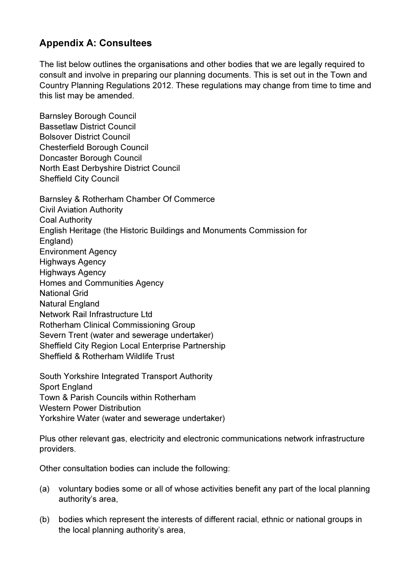# Appendix A: Consultees

The list below outlines the organisations and other bodies that we are legally required to consult and involve in preparing our planning documents. This is set out in the Town and Country Planning Regulations 2012. These regulations may change from time to time and this list may be amended.

Barnsley Borough Council Bassetlaw District Council Bolsover District Council Chesterfield Borough Council Doncaster Borough Council North East Derbyshire District Council Sheffield City Council

Barnsley & Rotherham Chamber Of Commerce Civil Aviation Authority Coal Authority English Heritage (the Historic Buildings and Monuments Commission for England) Environment Agency Highways Agency Highways Agency Homes and Communities Agency National Grid Natural England Network Rail Infrastructure Ltd Rotherham Clinical Commissioning Group Severn Trent (water and sewerage undertaker) Sheffield City Region Local Enterprise Partnership Sheffield & Rotherham Wildlife Trust

South Yorkshire Integrated Transport Authority Sport England Town & Parish Councils within Rotherham Western Power Distribution Yorkshire Water (water and sewerage undertaker)

Plus other relevant gas, electricity and electronic communications network infrastructure providers.

Other consultation bodies can include the following:

- (a) voluntary bodies some or all of whose activities benefit any part of the local planning authority's area,
- (b) bodies which represent the interests of different racial, ethnic or national groups in the local planning authority's area,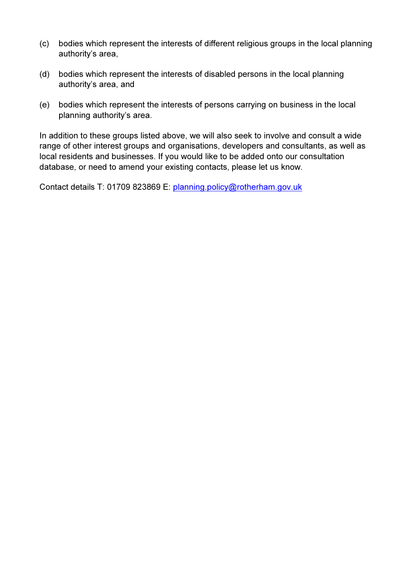- (c) bodies which represent the interests of different religious groups in the local planning authority's area,
- (d) bodies which represent the interests of disabled persons in the local planning authority's area, and
- (e) bodies which represent the interests of persons carrying on business in the local planning authority's area.

In addition to these groups listed above, we will also seek to involve and consult a wide range of other interest groups and organisations, developers and consultants, as well as local residents and businesses. If you would like to be added onto our consultation database, or need to amend your existing contacts, please let us know.

Contact details T: 01709 823869 E: planning.policy@rotherham.gov.uk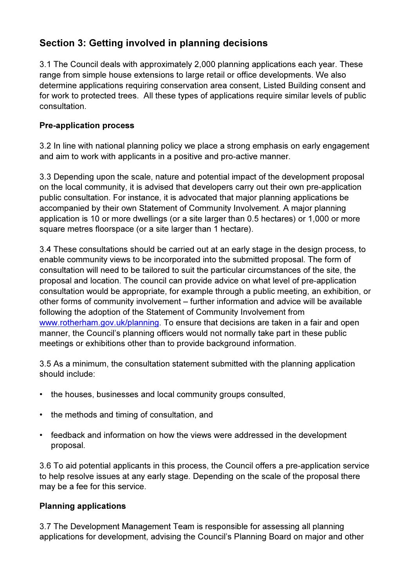# Section 3: Getting involved in planning decisions

3.1 The Council deals with approximately 2,000 planning applications each year. These range from simple house extensions to large retail or office developments. We also determine applications requiring conservation area consent, Listed Building consent and for work to protected trees. All these types of applications require similar levels of public consultation.

## Pre-application process

3.2 In line with national planning policy we place a strong emphasis on early engagement and aim to work with applicants in a positive and pro-active manner.

3.3 Depending upon the scale, nature and potential impact of the development proposal on the local community, it is advised that developers carry out their own pre-application public consultation. For instance, it is advocated that major planning applications be accompanied by their own Statement of Community Involvement. A major planning application is 10 or more dwellings (or a site larger than 0.5 hectares) or 1,000 or more square metres floorspace (or a site larger than 1 hectare).

3.4 These consultations should be carried out at an early stage in the design process, to enable community views to be incorporated into the submitted proposal. The form of consultation will need to be tailored to suit the particular circumstances of the site, the proposal and location. The council can provide advice on what level of pre-application consultation would be appropriate, for example through a public meeting, an exhibition, or other forms of community involvement – further information and advice will be available following the adoption of the Statement of Community Involvement from www.rotherham.gov.uk/planning. To ensure that decisions are taken in a fair and open manner, the Council's planning officers would not normally take part in these public meetings or exhibitions other than to provide background information.

3.5 As a minimum, the consultation statement submitted with the planning application should include:

- the houses, businesses and local community groups consulted,
- the methods and timing of consultation, and
- feedback and information on how the views were addressed in the development proposal.

3.6 To aid potential applicants in this process, the Council offers a pre-application service to help resolve issues at any early stage. Depending on the scale of the proposal there may be a fee for this service.

## Planning applications

3.7 The Development Management Team is responsible for assessing all planning applications for development, advising the Council's Planning Board on major and other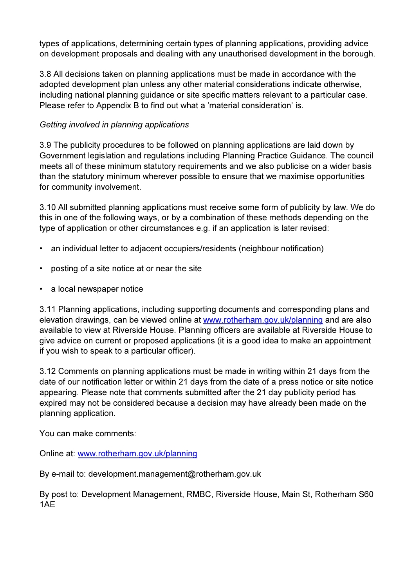types of applications, determining certain types of planning applications, providing advice on development proposals and dealing with any unauthorised development in the borough.

3.8 All decisions taken on planning applications must be made in accordance with the adopted development plan unless any other material considerations indicate otherwise, including national planning guidance or site specific matters relevant to a particular case. Please refer to Appendix B to find out what a 'material consideration' is.

## Getting involved in planning applications

3.9 The publicity procedures to be followed on planning applications are laid down by Government legislation and regulations including Planning Practice Guidance. The council meets all of these minimum statutory requirements and we also publicise on a wider basis than the statutory minimum wherever possible to ensure that we maximise opportunities for community involvement.

3.10 All submitted planning applications must receive some form of publicity by law. We do this in one of the following ways, or by a combination of these methods depending on the type of application or other circumstances e.g. if an application is later revised:

- an individual letter to adjacent occupiers/residents (neighbour notification)
- posting of a site notice at or near the site
- a local newspaper notice

3.11 Planning applications, including supporting documents and corresponding plans and elevation drawings, can be viewed online at www.rotherham.gov.uk/planning and are also available to view at Riverside House. Planning officers are available at Riverside House to give advice on current or proposed applications (it is a good idea to make an appointment if you wish to speak to a particular officer).

3.12 Comments on planning applications must be made in writing within 21 days from the date of our notification letter or within 21 days from the date of a press notice or site notice appearing. Please note that comments submitted after the 21 day publicity period has expired may not be considered because a decision may have already been made on the planning application.

You can make comments:

Online at: www.rotherham.gov.uk/planning

By e-mail to: development.management@rotherham.gov.uk

By post to: Development Management, RMBC, Riverside House, Main St, Rotherham S60 1AE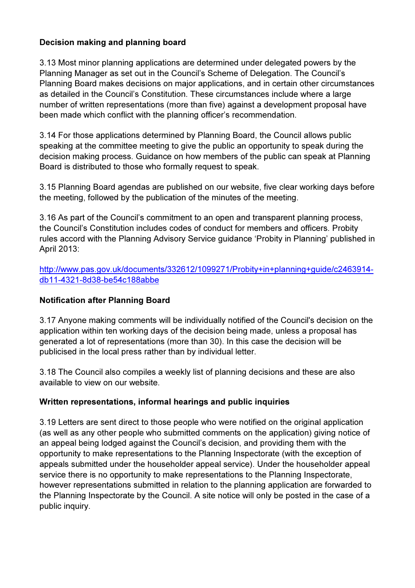## Decision making and planning board

3.13 Most minor planning applications are determined under delegated powers by the Planning Manager as set out in the Council's Scheme of Delegation. The Council's Planning Board makes decisions on major applications, and in certain other circumstances as detailed in the Council's Constitution. These circumstances include where a large number of written representations (more than five) against a development proposal have been made which conflict with the planning officer's recommendation.

3.14 For those applications determined by Planning Board, the Council allows public speaking at the committee meeting to give the public an opportunity to speak during the decision making process. Guidance on how members of the public can speak at Planning Board is distributed to those who formally request to speak.

3.15 Planning Board agendas are published on our website, five clear working days before the meeting, followed by the publication of the minutes of the meeting.

3.16 As part of the Council's commitment to an open and transparent planning process, the Council's Constitution includes codes of conduct for members and officers. Probity rules accord with the Planning Advisory Service guidance 'Probity in Planning' published in April 2013:

http://www.pas.gov.uk/documents/332612/1099271/Probity+in+planning+guide/c2463914 db11-4321-8d38-be54c188abbe

## Notification after Planning Board

3.17 Anyone making comments will be individually notified of the Council's decision on the application within ten working days of the decision being made, unless a proposal has generated a lot of representations (more than 30). In this case the decision will be publicised in the local press rather than by individual letter.

3.18 The Council also compiles a weekly list of planning decisions and these are also available to view on our website.

## Written representations, informal hearings and public inquiries

3.19 Letters are sent direct to those people who were notified on the original application (as well as any other people who submitted comments on the application) giving notice of an appeal being lodged against the Council's decision, and providing them with the opportunity to make representations to the Planning Inspectorate (with the exception of appeals submitted under the householder appeal service). Under the householder appeal service there is no opportunity to make representations to the Planning Inspectorate, however representations submitted in relation to the planning application are forwarded to the Planning Inspectorate by the Council. A site notice will only be posted in the case of a public inquiry.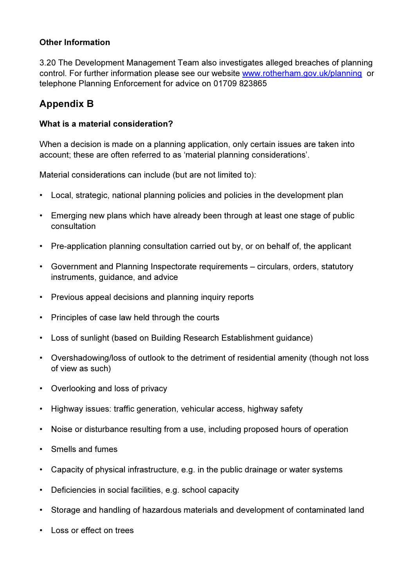#### Other Information

3.20 The Development Management Team also investigates alleged breaches of planning control. For further information please see our website www.rotherham.gov.uk/planning or telephone Planning Enforcement for advice on 01709 823865

# Appendix B

#### What is a material consideration?

When a decision is made on a planning application, only certain issues are taken into account; these are often referred to as 'material planning considerations'.

Material considerations can include (but are not limited to):

- Local, strategic, national planning policies and policies in the development plan
- Emerging new plans which have already been through at least one stage of public consultation
- Pre-application planning consultation carried out by, or on behalf of, the applicant
- Government and Planning Inspectorate requirements circulars, orders, statutory instruments, guidance, and advice
- Previous appeal decisions and planning inquiry reports
- Principles of case law held through the courts
- Loss of sunlight (based on Building Research Establishment guidance)
- Overshadowing/loss of outlook to the detriment of residential amenity (though not loss of view as such)
- Overlooking and loss of privacy
- Highway issues: traffic generation, vehicular access, highway safety
- Noise or disturbance resulting from a use, including proposed hours of operation
- Smells and fumes
- Capacity of physical infrastructure, e.g. in the public drainage or water systems
- Deficiencies in social facilities, e.g. school capacity
- Storage and handling of hazardous materials and development of contaminated land
- Loss or effect on trees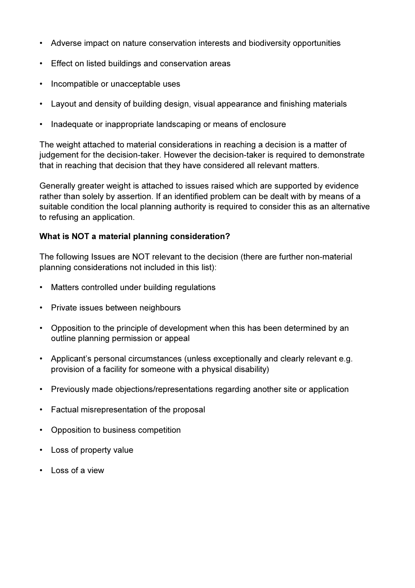- Adverse impact on nature conservation interests and biodiversity opportunities
- Effect on listed buildings and conservation areas
- Incompatible or unacceptable uses
- Layout and density of building design, visual appearance and finishing materials
- Inadequate or inappropriate landscaping or means of enclosure

The weight attached to material considerations in reaching a decision is a matter of judgement for the decision-taker. However the decision-taker is required to demonstrate that in reaching that decision that they have considered all relevant matters.

Generally greater weight is attached to issues raised which are supported by evidence rather than solely by assertion. If an identified problem can be dealt with by means of a suitable condition the local planning authority is required to consider this as an alternative to refusing an application.

#### What is NOT a material planning consideration?

The following Issues are NOT relevant to the decision (there are further non-material planning considerations not included in this list):

- Matters controlled under building regulations
- Private issues between neighbours
- Opposition to the principle of development when this has been determined by an outline planning permission or appeal
- Applicant's personal circumstances (unless exceptionally and clearly relevant e.g. provision of a facility for someone with a physical disability)
- Previously made objections/representations regarding another site or application
- Factual misrepresentation of the proposal
- Opposition to business competition
- Loss of property value
- Loss of a view